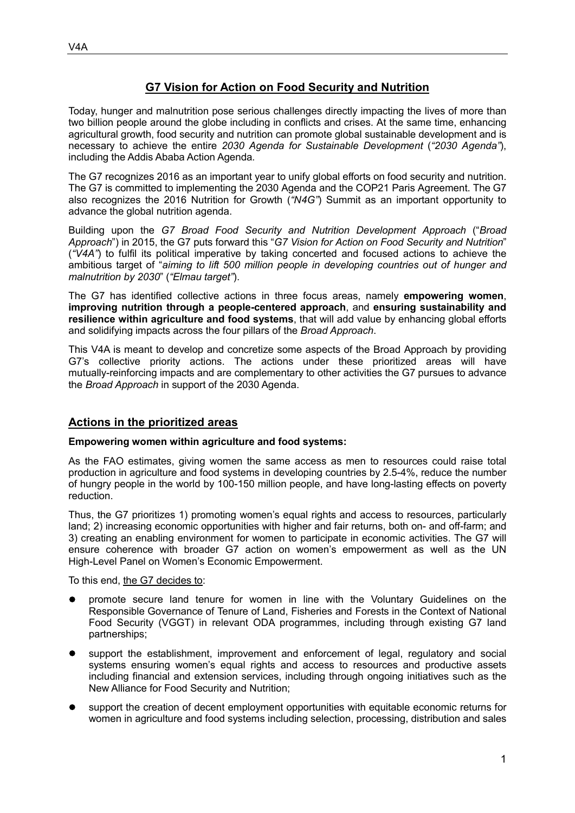# **G7 Vision for Action on Food Security and Nutrition**

Today, hunger and malnutrition pose serious challenges directly impacting the lives of more than two billion people around the globe including in conflicts and crises. At the same time, enhancing agricultural growth, food security and nutrition can promote global sustainable development and is necessary to achieve the entire *2030 Agenda for Sustainable Development* (*"2030 Agenda"*), including the Addis Ababa Action Agenda*.*

The G7 recognizes 2016 as an important year to unify global efforts on food security and nutrition. The G7 is committed to implementing the 2030 Agenda and the COP21 Paris Agreement. The G7 also recognizes the 2016 Nutrition for Growth (*"N4G"*) Summit as an important opportunity to advance the global nutrition agenda.

Building upon the *G7 Broad Food Security and Nutrition Development Approach* ("*Broad Approach*") in 2015, the G7 puts forward this "*G7 Vision for Action on Food Security and Nutrition*" (*"V4A"*) to fulfil its political imperative by taking concerted and focused actions to achieve the ambitious target of "*aiming to lift 500 million people in developing countries out of hunger and malnutrition by 2030*" (*"Elmau target"*).

The G7 has identified collective actions in three focus areas, namely **empowering women**, **improving nutrition through a people-centered approach**, and **ensuring sustainability and resilience within agriculture and food systems**, that will add value by enhancing global efforts and solidifying impacts across the four pillars of the *Broad Approach*.

This V4A is meant to develop and concretize some aspects of the Broad Approach by providing G7's collective priority actions. The actions under these prioritized areas will have mutually-reinforcing impacts and are complementary to other activities the G7 pursues to advance the *Broad Approach* in support of the 2030 Agenda.

## **Actions in the prioritized areas**

### **Empowering women within agriculture and food systems:**

As the FAO estimates, giving women the same access as men to resources could raise total production in agriculture and food systems in developing countries by 2.5-4%, reduce the number of hungry people in the world by 100-150 million people, and have long-lasting effects on poverty reduction.

Thus, the G7 prioritizes 1) promoting women's equal rights and access to resources, particularly land; 2) increasing economic opportunities with higher and fair returns, both on- and off-farm; and 3) creating an enabling environment for women to participate in economic activities. The G7 will ensure coherence with broader G7 action on women's empowerment as well as the UN High-Level Panel on Women's Economic Empowerment.

To this end, the G7 decides to:

- promote secure land tenure for women in line with the Voluntary Guidelines on the Responsible Governance of Tenure of Land, Fisheries and Forests in the Context of National Food Security (VGGT) in relevant ODA programmes, including through existing G7 land partnerships;
- support the establishment, improvement and enforcement of legal, regulatory and social systems ensuring women's equal rights and access to resources and productive assets including financial and extension services, including through ongoing initiatives such as the New Alliance for Food Security and Nutrition;
- support the creation of decent employment opportunities with equitable economic returns for women in agriculture and food systems including selection, processing, distribution and sales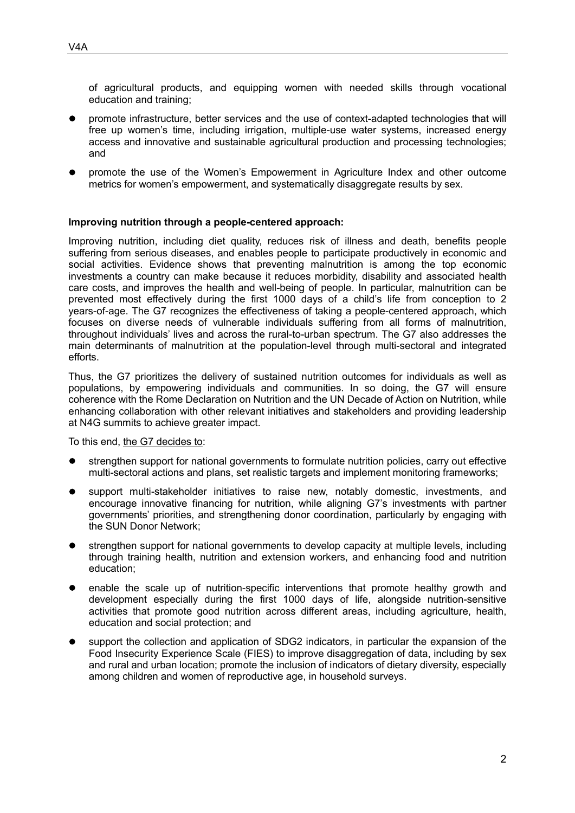of agricultural products, and equipping women with needed skills through vocational education and training;

- promote infrastructure, better services and the use of context-adapted technologies that will free up women's time, including irrigation, multiple-use water systems, increased energy access and innovative and sustainable agricultural production and processing technologies; and
- promote the use of the Women's Empowerment in Agriculture Index and other outcome metrics for women's empowerment, and systematically disaggregate results by sex.

#### **Improving nutrition through a people-centered approach:**

Improving nutrition, including diet quality, reduces risk of illness and death, benefits people suffering from serious diseases, and enables people to participate productively in economic and social activities. Evidence shows that preventing malnutrition is among the top economic investments a country can make because it reduces morbidity, disability and associated health care costs, and improves the health and well-being of people. In particular, malnutrition can be prevented most effectively during the first 1000 days of a child's life from conception to 2 years-of-age. The G7 recognizes the effectiveness of taking a people-centered approach, which focuses on diverse needs of vulnerable individuals suffering from all forms of malnutrition, throughout individuals' lives and across the rural-to-urban spectrum. The G7 also addresses the main determinants of malnutrition at the population-level through multi-sectoral and integrated efforts.

Thus, the G7 prioritizes the delivery of sustained nutrition outcomes for individuals as well as populations, by empowering individuals and communities. In so doing, the G7 will ensure coherence with the Rome Declaration on Nutrition and the UN Decade of Action on Nutrition, while enhancing collaboration with other relevant initiatives and stakeholders and providing leadership at N4G summits to achieve greater impact.

To this end, the G7 decides to:

- strengthen support for national governments to formulate nutrition policies, carry out effective multi-sectoral actions and plans, set realistic targets and implement monitoring frameworks;
- support multi-stakeholder initiatives to raise new, notably domestic, investments, and encourage innovative financing for nutrition, while aligning G7's investments with partner governments' priorities, and strengthening donor coordination, particularly by engaging with the SUN Donor Network;
- strengthen support for national governments to develop capacity at multiple levels, including through training health, nutrition and extension workers, and enhancing food and nutrition education;
- enable the scale up of nutrition-specific interventions that promote healthy growth and development especially during the first 1000 days of life, alongside nutrition-sensitive activities that promote good nutrition across different areas, including agriculture, health, education and social protection; and
- support the collection and application of SDG2 indicators, in particular the expansion of the Food Insecurity Experience Scale (FIES) to improve disaggregation of data, including by sex and rural and urban location; promote the inclusion of indicators of dietary diversity, especially among children and women of reproductive age, in household surveys.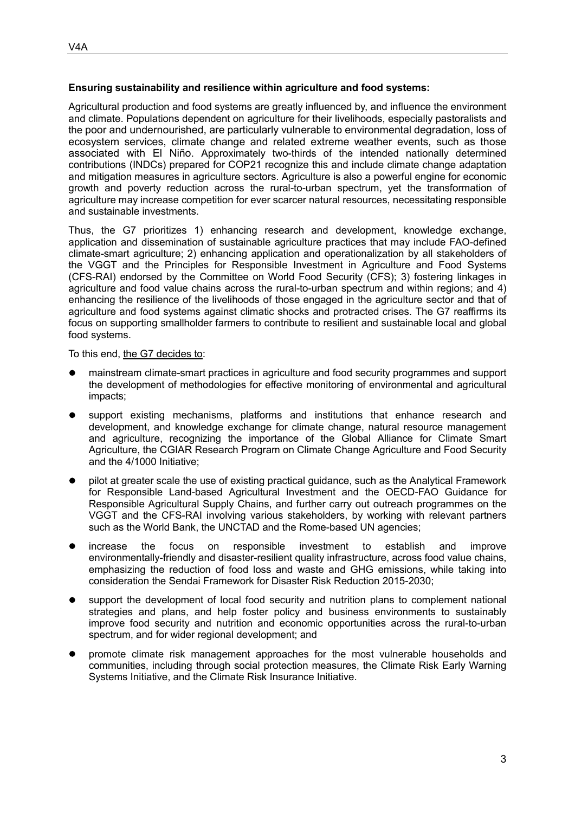### **Ensuring sustainability and resilience within agriculture and food systems:**

Agricultural production and food systems are greatly influenced by, and influence the environment and climate. Populations dependent on agriculture for their livelihoods, especially pastoralists and the poor and undernourished, are particularly vulnerable to environmental degradation, loss of ecosystem services, climate change and related extreme weather events, such as those associated with El Niño. Approximately two-thirds of the intended nationally determined contributions (INDCs) prepared for COP21 recognize this and include climate change adaptation and mitigation measures in agriculture sectors. Agriculture is also a powerful engine for economic growth and poverty reduction across the rural-to-urban spectrum, yet the transformation of agriculture may increase competition for ever scarcer natural resources, necessitating responsible and sustainable investments.

Thus, the G7 prioritizes 1) enhancing research and development, knowledge exchange, application and dissemination of sustainable agriculture practices that may include FAO-defined climate-smart agriculture; 2) enhancing application and operationalization by all stakeholders of the VGGT and the Principles for Responsible Investment in Agriculture and Food Systems (CFS-RAI) endorsed by the Committee on World Food Security (CFS); 3) fostering linkages in agriculture and food value chains across the rural-to-urban spectrum and within regions; and 4) enhancing the resilience of the livelihoods of those engaged in the agriculture sector and that of agriculture and food systems against climatic shocks and protracted crises. The G7 reaffirms its focus on supporting smallholder farmers to contribute to resilient and sustainable local and global food systems.

To this end, the G7 decides to:

- mainstream climate-smart practices in agriculture and food security programmes and support the development of methodologies for effective monitoring of environmental and agricultural impacts;
- support existing mechanisms, platforms and institutions that enhance research and development, and knowledge exchange for climate change, natural resource management and agriculture, recognizing the importance of the Global Alliance for Climate Smart Agriculture, the CGIAR Research Program on Climate Change Agriculture and Food Security and the 4/1000 Initiative;
- pilot at greater scale the use of existing practical guidance, such as the Analytical Framework for Responsible Land-based Agricultural Investment and the OECD-FAO Guidance for Responsible Agricultural Supply Chains, and further carry out outreach programmes on the VGGT and the CFS-RAI involving various stakeholders, by working with relevant partners such as the World Bank, the UNCTAD and the Rome-based UN agencies;
- increase the focus on responsible investment to establish and improve environmentally-friendly and disaster-resilient quality infrastructure, across food value chains, emphasizing the reduction of food loss and waste and GHG emissions, while taking into consideration the Sendai Framework for Disaster Risk Reduction 2015-2030;
- support the development of local food security and nutrition plans to complement national strategies and plans, and help foster policy and business environments to sustainably improve food security and nutrition and economic opportunities across the rural-to-urban spectrum, and for wider regional development; and
- promote climate risk management approaches for the most vulnerable households and communities, including through social protection measures, the Climate Risk Early Warning Systems Initiative, and the Climate Risk Insurance Initiative.